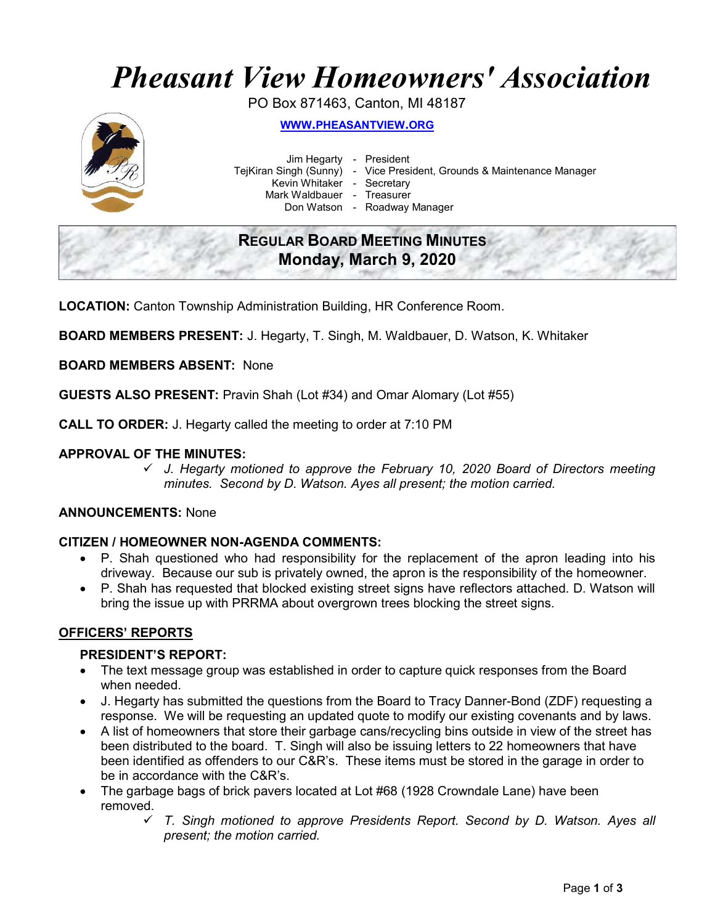# Pheasant View Homeowners' Association

PO Box 871463, Canton, MI 48187



WWW.PHEASANTVIEW.ORG

 Jim Hegarty - President Kevin Whitaker - Secretary

TejKiran Singh (Sunny) - Vice President, Grounds & Maintenance Manager

Mark Waldbauer - Treasurer

Don Watson - Roadway Manager

# REGULAR BOARD MEETING MINUTES Monday, March 9, 2020

LOCATION: Canton Township Administration Building, HR Conference Room.

BOARD MEMBERS PRESENT: J. Hegarty, T. Singh, M. Waldbauer, D. Watson, K. Whitaker

BOARD MEMBERS ABSENT: None

GUESTS ALSO PRESENT: Pravin Shah (Lot #34) and Omar Alomary (Lot #55)

CALL TO ORDER: J. Hegarty called the meeting to order at 7:10 PM

#### APPROVAL OF THE MINUTES:

 $\checkmark$  J. Hegarty motioned to approve the February 10, 2020 Board of Directors meeting minutes. Second by D. Watson. Ayes all present; the motion carried.

#### ANNOUNCEMENTS: None

#### CITIZEN / HOMEOWNER NON-AGENDA COMMENTS:

- P. Shah questioned who had responsibility for the replacement of the apron leading into his driveway. Because our sub is privately owned, the apron is the responsibility of the homeowner.
- P. Shah has requested that blocked existing street signs have reflectors attached. D. Watson will bring the issue up with PRRMA about overgrown trees blocking the street signs.

#### OFFICERS' REPORTS

#### PRESIDENT'S REPORT:

- The text message group was established in order to capture quick responses from the Board when needed.
- J. Hegarty has submitted the questions from the Board to Tracy Danner-Bond (ZDF) requesting a response. We will be requesting an updated quote to modify our existing covenants and by laws.
- A list of homeowners that store their garbage cans/recycling bins outside in view of the street has been distributed to the board. T. Singh will also be issuing letters to 22 homeowners that have been identified as offenders to our C&R's. These items must be stored in the garage in order to be in accordance with the C&R's.
- The garbage bags of brick pavers located at Lot #68 (1928 Crowndale Lane) have been removed.
	- $\checkmark$  T. Singh motioned to approve Presidents Report. Second by D. Watson. Ayes all present; the motion carried.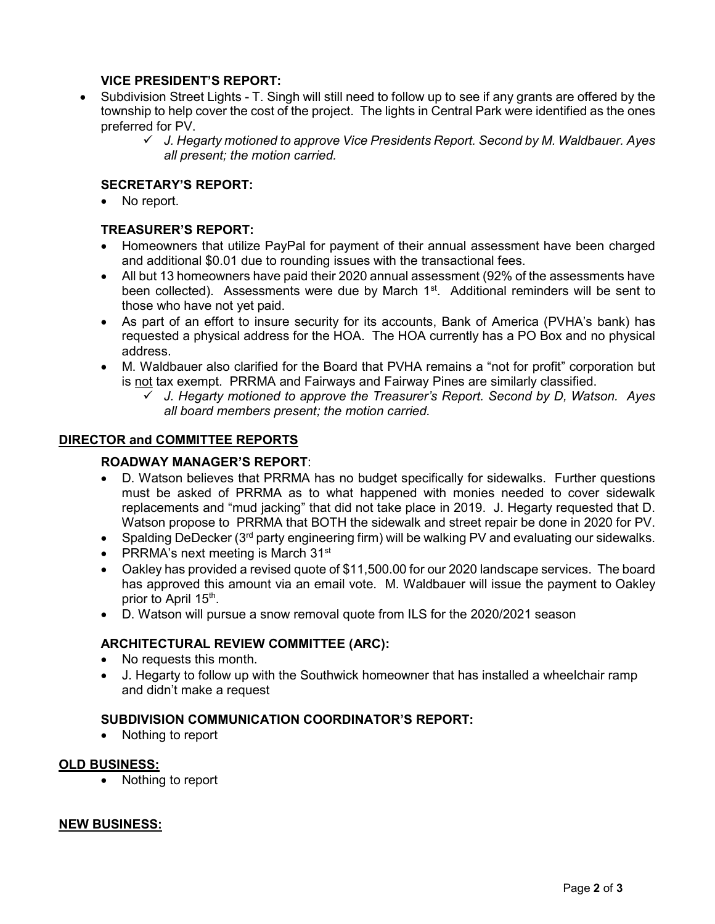# VICE PRESIDENT'S REPORT:

- Subdivision Street Lights T. Singh will still need to follow up to see if any grants are offered by the township to help cover the cost of the project. The lights in Central Park were identified as the ones preferred for PV.
	- $\checkmark$  J. Hegarty motioned to approve Vice Presidents Report. Second by M. Waldbauer. Ayes all present; the motion carried.

# SECRETARY'S REPORT:

No report.

# TREASURER'S REPORT:

- Homeowners that utilize PayPal for payment of their annual assessment have been charged and additional \$0.01 due to rounding issues with the transactional fees.
- All but 13 homeowners have paid their 2020 annual assessment (92% of the assessments have been collected). Assessments were due by March 1<sup>st</sup>. Additional reminders will be sent to those who have not yet paid.
- As part of an effort to insure security for its accounts, Bank of America (PVHA's bank) has requested a physical address for the HOA. The HOA currently has a PO Box and no physical address.
- M. Waldbauer also clarified for the Board that PVHA remains a "not for profit" corporation but is not tax exempt. PRRMA and Fairways and Fairway Pines are similarly classified.
	- $\checkmark$  J. Hegarty motioned to approve the Treasurer's Report. Second by D, Watson. Ayes all board members present; the motion carried.

#### DIRECTOR and COMMITTEE REPORTS

### ROADWAY MANAGER'S REPORT:

- D. Watson believes that PRRMA has no budget specifically for sidewalks. Further questions must be asked of PRRMA as to what happened with monies needed to cover sidewalk replacements and "mud jacking" that did not take place in 2019. J. Hegarty requested that D. Watson propose to PRRMA that BOTH the sidewalk and street repair be done in 2020 for PV.
- Spalding DeDecker (3<sup>rd</sup> party engineering firm) will be walking PV and evaluating our sidewalks.
- PRRMA's next meeting is March  $31<sup>st</sup>$
- Oakley has provided a revised quote of \$11,500.00 for our 2020 landscape services. The board has approved this amount via an email vote. M. Waldbauer will issue the payment to Oakley prior to April 15<sup>th</sup>.
- D. Watson will pursue a snow removal quote from ILS for the 2020/2021 season

#### ARCHITECTURAL REVIEW COMMITTEE (ARC):

- No requests this month.
- J. Hegarty to follow up with the Southwick homeowner that has installed a wheelchair ramp and didn't make a request

### SUBDIVISION COMMUNICATION COORDINATOR'S REPORT:

• Nothing to report

#### OLD BUSINESS:

• Nothing to report

#### NEW BUSINESS: